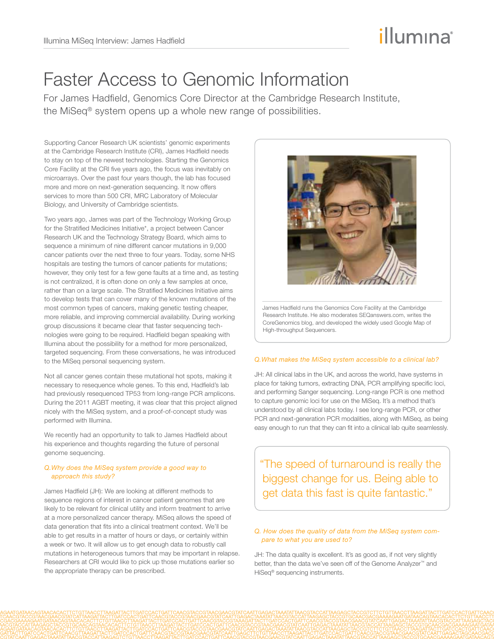# illumına

# Faster Access to Genomic Information

For James Hadfield, Genomics Core Director at the Cambridge Research Institute, the MiSeq® system opens up a whole new range of possibilities.

Supporting Cancer Research UK scientists' genomic experiments at the Cambridge Research Institute (CRI), James Hadfield needs to stay on top of the newest technologies. Starting the Genomics Core Facility at the CRI five years ago, the focus was inevitably on microarrays. Over the past four years though, the lab has focused more and more on next-generation sequencing. It now offers services to more than 500 CRI, MRC Laboratory of Molecular Biology, and University of Cambridge scientists.

Two years ago, James was part of the Technology Working Group for the Stratified Medicines Initiative\*, a project between Cancer Research UK and the Technology Strategy Board, which aims to sequence a minimum of nine different cancer mutations in 9,000 cancer patients over the next three to four years. Today, some NHS hospitals are testing the tumors of cancer patients for mutations; however, they only test for a few gene faults at a time and, as testing is not centralized, it is often done on only a few samples at once, rather than on a large scale. The Stratified Medicines Initiative aims to develop tests that can cover many of the known mutations of the most common types of cancers, making genetic testing cheaper, more reliable, and improving commercial availability. During working group discussions it became clear that faster sequencing technologies were going to be required. Hadfield began speaking with Illumina about the possibility for a method for more personalized, targeted sequencing. From these conversations, he was introduced to the MiSeq personal sequencing system.

Not all cancer genes contain these mutational hot spots, making it necessary to resequence whole genes. To this end, Hadfield's lab had previously resequenced TP53 from long-range PCR amplicons. During the 2011 AGBT meeting, it was clear that this project aligned nicely with the MiSeq system, and a proof-of-concept study was performed with Illumina.

We recently had an opportunity to talk to James Hadfield about his experience and thoughts regarding the future of personal genome sequencing.

# *Q.Why does the MiSeq system provide a good way to approach this study?*

James Hadfield (JH): We are looking at different methods to sequence regions of interest in cancer patient genomes that are likely to be relevant for clinical utility and inform treatment to arrive at a more personalized cancer therapy. MiSeq allows the speed of data generation that fits into a clinical treatment context. We'll be able to get results in a matter of hours or days, or certainly within a week or two. It will allow us to get enough data to robustly call mutations in heterogeneous tumors that may be important in relapse. Researchers at CRI would like to pick up those mutations earlier so the appropriate therapy can be prescribed.



James Hadfield runs the Genomics Core Facility at the Cambridge Research Institute. He also moderates SEQanswers.com, writes the CoreGenomics blog, and developed the widely used Google Map of High-throughput Sequencers.

### *Q.What makes the MiSeq system accessible to a clinical lab?*

JH: All clinical labs in the UK, and across the world, have systems in place for taking tumors, extracting DNA, PCR amplifying specific loci, and performing Sanger sequencing. Long-range PCR is one method to capture genomic loci for use on the MiSeq. It's a method that's understood by all clinical labs today. I see long-range PCR, or other PCR and next-generation PCR modalities, along with MiSeq, as being easy enough to run that they can fit into a clinical lab quite seamlessly.

"The speed of turnaround is really the biggest change for us. Being able to get data this fast is quite fantastic."

# *Q. How does the quality of data from the MiSeq system compare to what you are used to?*

JH: The data quality is excellent. It's as good as, if not very slightly better, than the data we've seen off of the Genome Analyzer™ and HiSeq® sequencing instruments.